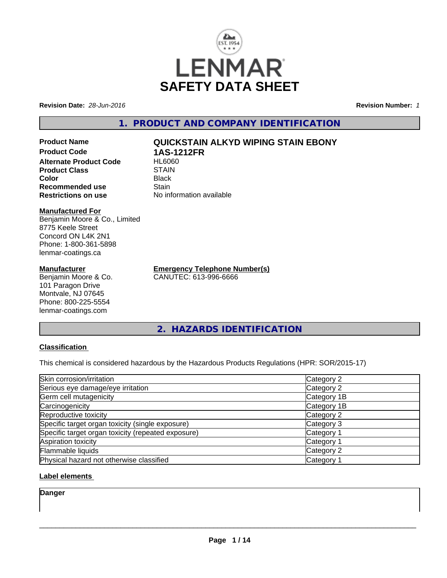

**Revision Date:** *28-Jun-2016* **Revision Number:** *1*

# **1. PRODUCT AND COMPANY IDENTIFICATION**

**Product Name QUICKSTAIN ALKYD WIPING STAIN EBONY Product Code 1AS-1212FR Alternate Product Code Product Class STAIN STAIN**<br> **Color** Black **Color** Black **Recommended use Stain Restrictions on use** No information available

#### **Manufactured For**

Benjamin Moore & Co., Limited 8775 Keele Street Concord ON L4K 2N1 Phone: 1-800-361-5898 lenmar-coatings.ca

### **Manufacturer**

Benjamin Moore & Co. 101 Paragon Drive Montvale, NJ 07645 Phone: 800-225-5554 lenmar-coatings.com

**Emergency Telephone Number(s)** CANUTEC: 613-996-6666

**2. HAZARDS IDENTIFICATION**

## **Classification**

This chemical is considered hazardous by the Hazardous Products Regulations (HPR: SOR/2015-17)

| Skin corrosion/irritation                          | Category 2            |
|----------------------------------------------------|-----------------------|
| Serious eye damage/eye irritation                  | Category 2            |
| Germ cell mutagenicity                             | Category 1B           |
| Carcinogenicity                                    | Category 1B           |
| Reproductive toxicity                              | Category 2            |
| Specific target organ toxicity (single exposure)   | Category 3            |
| Specific target organ toxicity (repeated exposure) | Category <sup>2</sup> |
| Aspiration toxicity                                | Category 1            |
| Flammable liquids                                  | Category 2            |
| Physical hazard not otherwise classified           | Category 1            |

## **Label elements**

**Danger**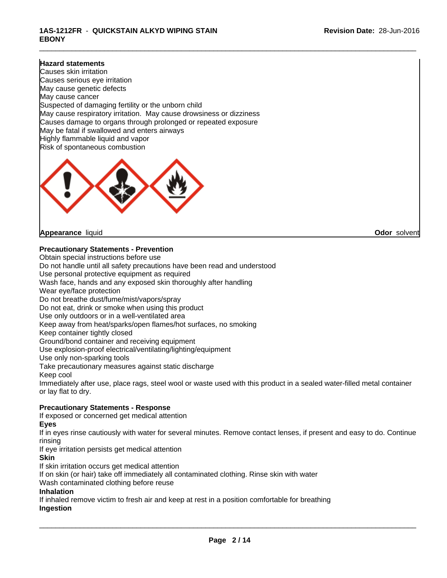### **1AS-1212FR** - **QUICKSTAIN ALKYD WIPING STAIN EBONY**

#### **Hazard statements**

Causes skin irritation Causes serious eye irritation May cause genetic defects May cause cancer Suspected of damaging fertility or the unborn child May cause respiratory irritation. May cause drowsiness or dizziness Causes damage to organs through prolonged or repeated exposure May be fatal if swallowed and enters airways Highly flammable liquid and vapor Risk of spontaneous combustion



**Appearance** liquid **Odor** solvent

**Precautionary Statements - Prevention**

Obtain special instructions before use Do not handle until all safety precautions have been read and understood Use personal protective equipment as required Wash face, hands and any exposed skin thoroughly after handling Wear eye/face protection Do not breathe dust/fume/mist/vapors/spray Do not eat, drink or smoke when using this product Use only outdoors or in a well-ventilated area Keep away from heat/sparks/open flames/hot surfaces, no smoking Keep container tightly closed Ground/bond container and receiving equipment Use explosion-proof electrical/ventilating/lighting/equipment Use only non-sparking tools Take precautionary measures against static discharge Keep cool Immediately after use, place rags, steel wool or waste used with this product in a sealed water-filled metal container or lay flat to dry. **Precautionary Statements - Response** If exposed or concerned get medical attention **Eyes**

If in eyes rinse cautiously with water for several minutes. Remove contact lenses, if present and easy to do. Continue rinsing

If eye irritation persists get medical attention

**Skin**

If skin irritation occurs get medical attention

If on skin (or hair) take off immediately all contaminated clothing. Rinse skin with water

Wash contaminated clothing before reuse

#### **Inhalation**

If inhaled remove victim to fresh air and keep at rest in a position comfortable for breathing **Ingestion**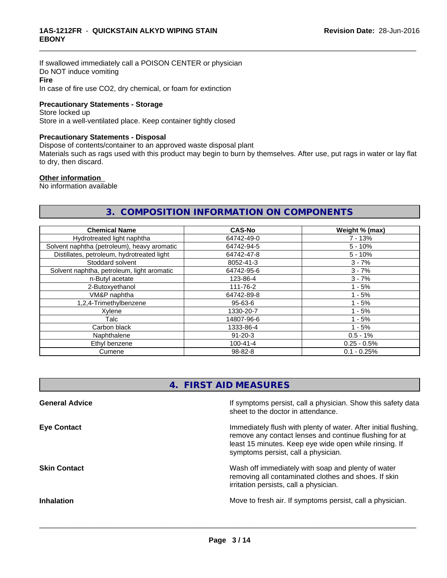If swallowed immediately call a POISON CENTER or physician Do NOT induce vomiting **Fire** In case of fire use CO2, dry chemical, or foam for extinction

#### **Precautionary Statements - Storage**

Store locked up Store in a well-ventilated place. Keep container tightly closed

### **Precautionary Statements - Disposal**

Dispose of contents/container to an approved waste disposal plant

Materials such as rags used with this product may begin to burn by themselves. After use, put rags in water or lay flat to dry, then discard.

\_\_\_\_\_\_\_\_\_\_\_\_\_\_\_\_\_\_\_\_\_\_\_\_\_\_\_\_\_\_\_\_\_\_\_\_\_\_\_\_\_\_\_\_\_\_\_\_\_\_\_\_\_\_\_\_\_\_\_\_\_\_\_\_\_\_\_\_\_\_\_\_\_\_\_\_\_\_\_\_\_\_\_\_\_\_\_\_\_\_\_\_\_

#### **Other information**

No information available

# **3. COMPOSITION INFORMATION ON COMPONENTS**

| <b>Chemical Name</b>                        | <b>CAS-No</b>  | Weight % (max) |
|---------------------------------------------|----------------|----------------|
| Hydrotreated light naphtha                  | 64742-49-0     | $7 - 13%$      |
| Solvent naphtha (petroleum), heavy aromatic | 64742-94-5     | $5 - 10%$      |
| Distillates, petroleum, hydrotreated light  | 64742-47-8     | $5 - 10%$      |
| Stoddard solvent                            | 8052-41-3      | $3 - 7%$       |
| Solvent naphtha, petroleum, light aromatic  | 64742-95-6     | $3 - 7%$       |
| n-Butyl acetate                             | 123-86-4       | $3 - 7%$       |
| 2-Butoxyethanol                             | 111-76-2       | $1 - 5%$       |
| VM&P naphtha                                | 64742-89-8     | $1 - 5%$       |
| 1,2,4-Trimethylbenzene                      | $95 - 63 - 6$  | $1 - 5%$       |
| Xylene                                      | 1330-20-7      | $1 - 5%$       |
| Talc                                        | 14807-96-6     | $1 - 5%$       |
| Carbon black                                | 1333-86-4      | $1 - 5%$       |
| Naphthalene<br>$91 - 20 - 3$                |                | $0.5 - 1%$     |
| Ethyl benzene                               | $100 - 41 - 4$ | $0.25 - 0.5%$  |
| Cumene                                      | 98-82-8        | $0.1 - 0.25%$  |

# **4. FIRST AID MEASURES**

| <b>General Advice</b> | If symptoms persist, call a physician. Show this safety data<br>sheet to the doctor in attendance.                                                                                                                         |
|-----------------------|----------------------------------------------------------------------------------------------------------------------------------------------------------------------------------------------------------------------------|
| <b>Eye Contact</b>    | Immediately flush with plenty of water. After initial flushing,<br>remove any contact lenses and continue flushing for at<br>least 15 minutes. Keep eye wide open while rinsing. If<br>symptoms persist, call a physician. |
| <b>Skin Contact</b>   | Wash off immediately with soap and plenty of water<br>removing all contaminated clothes and shoes. If skin<br>irritation persists, call a physician.                                                                       |
| <b>Inhalation</b>     | Move to fresh air. If symptoms persist, call a physician.                                                                                                                                                                  |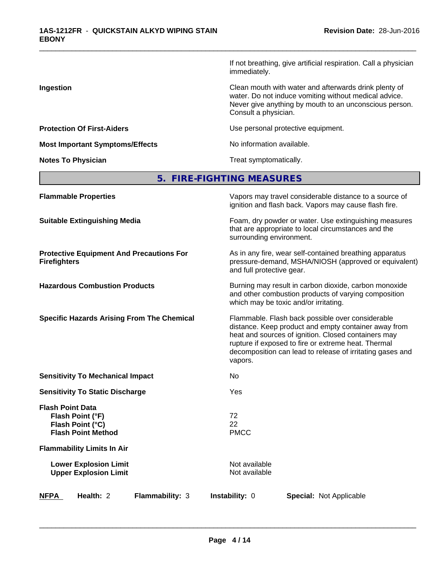If not breathing, give artificial respiration. Call a physician immediately.

**Ingestion** Clean mouth with water and afterwards drink plenty of water. Do not induce vomiting without medical advice. Never give anything by mouth to an unconscious person. Consult a physician.

**Protection Of First-Aiders Exercise 2018** Use personal protective equipment.

\_\_\_\_\_\_\_\_\_\_\_\_\_\_\_\_\_\_\_\_\_\_\_\_\_\_\_\_\_\_\_\_\_\_\_\_\_\_\_\_\_\_\_\_\_\_\_\_\_\_\_\_\_\_\_\_\_\_\_\_\_\_\_\_\_\_\_\_\_\_\_\_\_\_\_\_\_\_\_\_\_\_\_\_\_\_\_\_\_\_\_\_\_

**Notes To Physician Treat symptomatically.** 

| <b>Flammable Properties</b>                                                                  | Vapors may travel considerable distance to a source of<br>ignition and flash back. Vapors may cause flash fire.                                                                                                                                                                                |  |  |
|----------------------------------------------------------------------------------------------|------------------------------------------------------------------------------------------------------------------------------------------------------------------------------------------------------------------------------------------------------------------------------------------------|--|--|
| <b>Suitable Extinguishing Media</b>                                                          | Foam, dry powder or water. Use extinguishing measures<br>that are appropriate to local circumstances and the<br>surrounding environment.                                                                                                                                                       |  |  |
| <b>Protective Equipment And Precautions For</b><br><b>Firefighters</b>                       | As in any fire, wear self-contained breathing apparatus<br>pressure-demand, MSHA/NIOSH (approved or equivalent)<br>and full protective gear.                                                                                                                                                   |  |  |
| <b>Hazardous Combustion Products</b>                                                         | Burning may result in carbon dioxide, carbon monoxide<br>and other combustion products of varying composition<br>which may be toxic and/or irritating.                                                                                                                                         |  |  |
| <b>Specific Hazards Arising From The Chemical</b>                                            | Flammable. Flash back possible over considerable<br>distance. Keep product and empty container away from<br>heat and sources of ignition. Closed containers may<br>rupture if exposed to fire or extreme heat. Thermal<br>decomposition can lead to release of irritating gases and<br>vapors. |  |  |
| <b>Sensitivity To Mechanical Impact</b>                                                      | No                                                                                                                                                                                                                                                                                             |  |  |
| <b>Sensitivity To Static Discharge</b>                                                       | Yes                                                                                                                                                                                                                                                                                            |  |  |
| <b>Flash Point Data</b><br>Flash Point (°F)<br>Flash Point (°C)<br><b>Flash Point Method</b> | 72<br>22<br><b>PMCC</b>                                                                                                                                                                                                                                                                        |  |  |
| <b>Flammability Limits In Air</b>                                                            |                                                                                                                                                                                                                                                                                                |  |  |
| <b>Lower Explosion Limit</b><br><b>Upper Explosion Limit</b>                                 | Not available<br>Not available                                                                                                                                                                                                                                                                 |  |  |
| Health: 2<br>Flammability: 3<br><b>NFPA</b>                                                  | Instability: 0<br><b>Special: Not Applicable</b>                                                                                                                                                                                                                                               |  |  |
|                                                                                              |                                                                                                                                                                                                                                                                                                |  |  |

 $\overline{\phantom{a}}$  ,  $\overline{\phantom{a}}$  ,  $\overline{\phantom{a}}$  ,  $\overline{\phantom{a}}$  ,  $\overline{\phantom{a}}$  ,  $\overline{\phantom{a}}$  ,  $\overline{\phantom{a}}$  ,  $\overline{\phantom{a}}$  ,  $\overline{\phantom{a}}$  ,  $\overline{\phantom{a}}$  ,  $\overline{\phantom{a}}$  ,  $\overline{\phantom{a}}$  ,  $\overline{\phantom{a}}$  ,  $\overline{\phantom{a}}$  ,  $\overline{\phantom{a}}$  ,  $\overline{\phantom{a}}$ 

**Most Important Symptoms/Effects** No information available.

# **5. FIRE-FIGHTING MEASURES**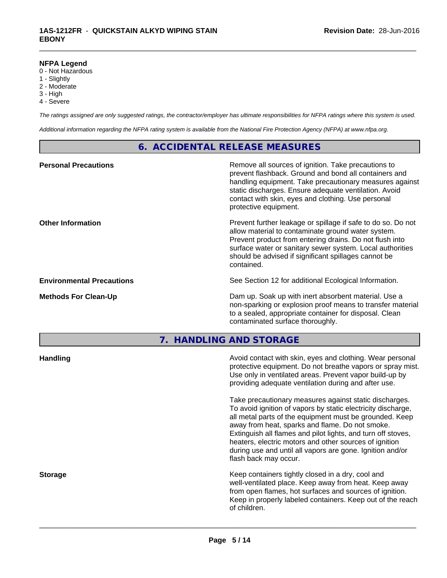### **NFPA Legend**

- 0 Not Hazardous
- 1 Slightly
- 2 Moderate
- 3 High
- 4 Severe

*The ratings assigned are only suggested ratings, the contractor/employer has ultimate responsibilities for NFPA ratings where this system is used.*

\_\_\_\_\_\_\_\_\_\_\_\_\_\_\_\_\_\_\_\_\_\_\_\_\_\_\_\_\_\_\_\_\_\_\_\_\_\_\_\_\_\_\_\_\_\_\_\_\_\_\_\_\_\_\_\_\_\_\_\_\_\_\_\_\_\_\_\_\_\_\_\_\_\_\_\_\_\_\_\_\_\_\_\_\_\_\_\_\_\_\_\_\_

*Additional information regarding the NFPA rating system is available from the National Fire Protection Agency (NFPA) at www.nfpa.org.*

## **6. ACCIDENTAL RELEASE MEASURES**

| <b>Personal Precautions</b>      | Remove all sources of ignition. Take precautions to<br>prevent flashback. Ground and bond all containers and<br>handling equipment. Take precautionary measures against<br>static discharges. Ensure adequate ventilation. Avoid<br>contact with skin, eyes and clothing. Use personal<br>protective equipment.  |
|----------------------------------|------------------------------------------------------------------------------------------------------------------------------------------------------------------------------------------------------------------------------------------------------------------------------------------------------------------|
| <b>Other Information</b>         | Prevent further leakage or spillage if safe to do so. Do not<br>allow material to contaminate ground water system.<br>Prevent product from entering drains. Do not flush into<br>surface water or sanitary sewer system. Local authorities<br>should be advised if significant spillages cannot be<br>contained. |
| <b>Environmental Precautions</b> | See Section 12 for additional Ecological Information.                                                                                                                                                                                                                                                            |
| <b>Methods For Clean-Up</b>      | Dam up. Soak up with inert absorbent material. Use a<br>non-sparking or explosion proof means to transfer material<br>to a sealed, appropriate container for disposal. Clean<br>contaminated surface thoroughly.                                                                                                 |

**7. HANDLING AND STORAGE**

| Avoid contact with skin, eyes and clothing. Wear personal<br>protective equipment. Do not breathe vapors or spray mist.<br>Use only in ventilated areas. Prevent vapor build-up by<br>providing adequate ventilation during and after use.                                                                                                                                                                                                           |
|------------------------------------------------------------------------------------------------------------------------------------------------------------------------------------------------------------------------------------------------------------------------------------------------------------------------------------------------------------------------------------------------------------------------------------------------------|
| Take precautionary measures against static discharges.<br>To avoid ignition of vapors by static electricity discharge,<br>all metal parts of the equipment must be grounded. Keep<br>away from heat, sparks and flame. Do not smoke.<br>Extinguish all flames and pilot lights, and turn off stoves,<br>heaters, electric motors and other sources of ignition<br>during use and until all vapors are gone. Ignition and/or<br>flash back may occur. |
| Keep containers tightly closed in a dry, cool and<br>well-ventilated place. Keep away from heat. Keep away<br>from open flames, hot surfaces and sources of ignition.<br>Keep in properly labeled containers. Keep out of the reach<br>of children.                                                                                                                                                                                                  |
|                                                                                                                                                                                                                                                                                                                                                                                                                                                      |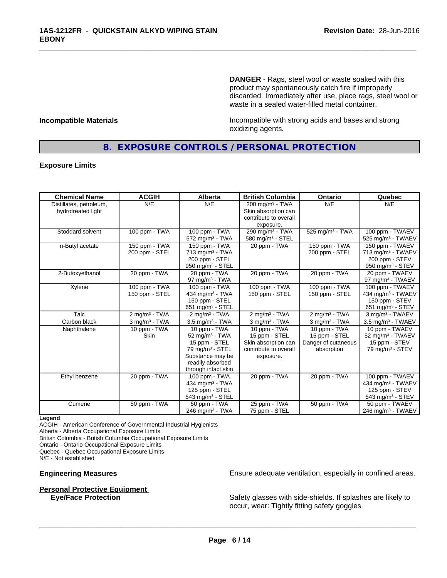**DANGER** - Rags, steel wool or waste soaked with this product may spontaneously catch fire if improperly discarded. Immediately after use, place rags, steel wool or waste in a sealed water-filled metal container.

**Incompatible Materials Incompatible with strong acids and bases and strong** oxidizing agents.

## **8. EXPOSURE CONTROLS / PERSONAL PROTECTION**

\_\_\_\_\_\_\_\_\_\_\_\_\_\_\_\_\_\_\_\_\_\_\_\_\_\_\_\_\_\_\_\_\_\_\_\_\_\_\_\_\_\_\_\_\_\_\_\_\_\_\_\_\_\_\_\_\_\_\_\_\_\_\_\_\_\_\_\_\_\_\_\_\_\_\_\_\_\_\_\_\_\_\_\_\_\_\_\_\_\_\_\_\_

#### **Exposure Limits**

| <b>Chemical Name</b>    | <b>ACGIH</b>              | <b>Alberta</b>                 | <b>British Columbia</b>     | <b>Ontario</b>              | Quebec                          |
|-------------------------|---------------------------|--------------------------------|-----------------------------|-----------------------------|---------------------------------|
| Distillates, petroleum, | N/E                       | N/E                            | 200 mg/m <sup>3</sup> - TWA | N/E                         | N/E                             |
| hydrotreated light      |                           |                                | Skin absorption can         |                             |                                 |
|                         |                           |                                | contribute to overall       |                             |                                 |
|                         |                           |                                | exposure.                   |                             |                                 |
| Stoddard solvent        | 100 ppm - TWA             | 100 ppm - TWA                  | 290 mg/m <sup>3</sup> - TWA | 525 mg/m <sup>3</sup> - TWA | 100 ppm - TWAEV                 |
|                         |                           | $572$ mg/m <sup>3</sup> - TWA  | 580 mg/m $3 -$ STEL         |                             | 525 mg/m <sup>3</sup> - TWAEV   |
| n-Butyl acetate         | 150 ppm - TWA             | 150 ppm - TWA                  | 20 ppm - TWA                | 150 ppm - TWA               | 150 ppm - TWAEV                 |
|                         | 200 ppm - STEL            | $713$ mg/m <sup>3</sup> - TWA  |                             | 200 ppm - STEL              | 713 mg/m <sup>3</sup> - TWAEV   |
|                         |                           | 200 ppm - STEL                 |                             |                             | 200 ppm - STEV                  |
|                         |                           | 950 mg/m <sup>3</sup> - STEL   |                             |                             | 950 mg/m <sup>3</sup> - STEV    |
| 2-Butoxyethanol         | 20 ppm - TWA              | 20 ppm - TWA                   | 20 ppm - TWA                | 20 ppm - TWA                | 20 ppm - TWAEV                  |
|                         |                           | $97 \text{ mg/m}^3$ - TWA      |                             |                             | 97 mg/m <sup>3</sup> - TWAEV    |
| Xylene                  | 100 ppm - TWA             | 100 ppm - TWA                  | 100 ppm - $TWA$             | 100 ppm - TWA               | 100 ppm - TWAEV                 |
|                         | 150 ppm - STEL            | 434 mg/m $3$ - TWA             | 150 ppm - STEL              | 150 ppm - STEL              | 434 mg/m <sup>3</sup> - TWAEV   |
|                         |                           | 150 ppm - STEL                 |                             |                             | 150 ppm - STEV                  |
|                         |                           | 651 mg/m <sup>3</sup> - STEL   |                             |                             | $651$ mg/m <sup>3</sup> - STEV  |
| Talc                    | 2 mg/m <sup>3</sup> - TWA | $2$ mg/m <sup>3</sup> - TWA    | $2$ mg/m <sup>3</sup> - TWA | $2$ mg/m <sup>3</sup> - TWA | 3 mg/m <sup>3</sup> - TWAEV     |
| Carbon black            | $3$ mg/m $3$ - TWA        | $3.5$ mg/m $3$ - TWA           | $3$ mg/m $3$ - TWA          | $3$ mg/m $3$ - TWA          | $3.5$ mg/m <sup>3</sup> - TWAEV |
| Naphthalene             | 10 ppm - TWA              | 10 ppm - TWA                   | 10 ppm - TWA                | 10 ppm - TWA                | 10 ppm - TWAEV                  |
|                         | <b>Skin</b>               | $52$ mg/m <sup>3</sup> - TWA   | 15 ppm - STEL               | 15 ppm - STEL               | 52 mg/m <sup>3</sup> - TWAEV    |
|                         |                           | 15 ppm - STEL                  | Skin absorption can         | Danger of cutaneous         | 15 ppm - STEV                   |
|                         |                           | 79 mg/m <sup>3</sup> - STEL    | contribute to overall       | absorption                  | 79 mg/m <sup>3</sup> - STEV     |
|                         |                           | Substance may be               | exposure.                   |                             |                                 |
|                         |                           | readily absorbed               |                             |                             |                                 |
|                         |                           | through intact skin            |                             |                             |                                 |
| Ethyl benzene           | 20 ppm - TWA              | 100 ppm - TWA                  | 20 ppm - TWA                | 20 ppm - TWA                | 100 ppm - TWAEV                 |
|                         |                           | 434 mg/m <sup>3</sup> - TWA    |                             |                             | 434 mg/m <sup>3</sup> - TWAEV   |
|                         |                           | 125 ppm - STEL                 |                             |                             | 125 ppm - STEV                  |
|                         |                           | $543$ mg/m <sup>3</sup> - STEL |                             |                             | $543$ mg/m <sup>3</sup> - STEV  |
| Cumene                  | 50 ppm - TWA              | 50 ppm - TWA                   | 25 ppm - TWA                | 50 ppm - TWA                | 50 ppm - TWAEV                  |
|                         |                           | 246 mg/m <sup>3</sup> - TWA    | 75 ppm - STEL               |                             | 246 mg/m <sup>3</sup> - TWAEV   |

#### **Legend**

ACGIH - American Conference of Governmental Industrial Hygienists

Alberta - Alberta Occupational Exposure Limits

British Columbia - British Columbia Occupational Exposure Limits

Ontario - Ontario Occupational Exposure Limits

Quebec - Quebec Occupational Exposure Limits

N/E - Not established

#### **Personal Protective Equipment**

**Engineering Measures Ensure 2018** Ensure adequate ventilation, especially in confined areas.

**Eye/Face Protection** Safety glasses with side-shields. If splashes are likely to occur, wear: Tightly fitting safety goggles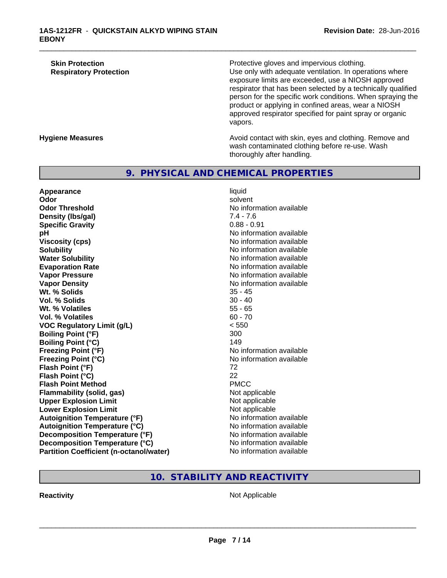| <b>Skin Protection</b>        |  |
|-------------------------------|--|
| <b>Respiratory Protection</b> |  |

Protective gloves and impervious clothing. Use only with adequate ventilation. In operations where exposure limits are exceeded, use a NIOSH approved respirator that has been selected by a technically qualified person for the specific work conditions. When spraying the product or applying in confined areas, wear a NIOSH approved respirator specified for paint spray or organic vapors.

**Hygiene Measures Avoid contact with skin, eyes and clothing. Remove and Avoid contact with skin, eyes and clothing. Remove and** wash contaminated clothing before re-use. Wash thoroughly after handling.

## **9. PHYSICAL AND CHEMICAL PROPERTIES**

**Appearance** liquid **Odor** solvent **Odor Threshold**<br> **Density (Ibs/gal)**<br> **Density (Ibs/gal)**<br> **No information available**<br>  $7.4 - 7.6$ **Density (Ibs/gal)** 7.4 - 7.6<br> **Specific Gravity** 3.1 - 7.6 2.91 **Specific Gravity pH** No information available **Viscosity (cps)** No information available Notice 1, 1999 **Solubility** No information available **Water Solubility** No information available **Evaporation Rate No information available No information available Vapor Pressure** No information available **Vapor Density No information available** No information available **Wt. % Solids** 35 - 45 **Vol. % Solids Wt. % Volatiles** 55 - 65 **Vol. % Volatiles** 60 - 70 **VOC Regulatory Limit (g/L)** < 550 **Boiling Point (°F)** 300 **Boiling Point (°C)** 149 **Freezing Point (°F)** Moinformation available **Freezing Point (°C)** No information available **Flash Point (°F)** 72 **Flash Point (°C)** 22 **Flash Point Method** PMCC **Flammability (solid, gas)** Not applicable **Upper Explosion Limit**<br> **Lower Explosion Limit**<br> **Lower Explosion Limit Lower Explosion Limit Autoignition Temperature (°F)** No information available **Autoignition Temperature (°C)** No information available **Decomposition Temperature (°F)** No information available **Decomposition Temperature (°C)** No information available **Partition Coefficient (n-octanol/water)** No information available

\_\_\_\_\_\_\_\_\_\_\_\_\_\_\_\_\_\_\_\_\_\_\_\_\_\_\_\_\_\_\_\_\_\_\_\_\_\_\_\_\_\_\_\_\_\_\_\_\_\_\_\_\_\_\_\_\_\_\_\_\_\_\_\_\_\_\_\_\_\_\_\_\_\_\_\_\_\_\_\_\_\_\_\_\_\_\_\_\_\_\_\_\_

## **10. STABILITY AND REACTIVITY**

**Reactivity Not Applicable Not Applicable**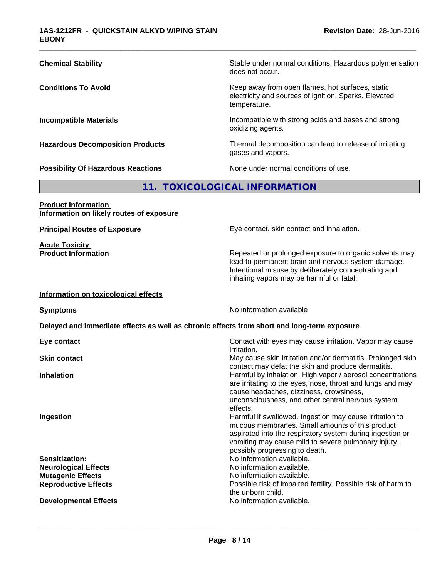| <b>Chemical Stability</b>                                                                  | Stable under normal conditions. Hazardous polymerisation<br>does not occur.                                                                                                                                              |  |
|--------------------------------------------------------------------------------------------|--------------------------------------------------------------------------------------------------------------------------------------------------------------------------------------------------------------------------|--|
| <b>Conditions To Avoid</b>                                                                 | Keep away from open flames, hot surfaces, static<br>electricity and sources of ignition. Sparks. Elevated<br>temperature.                                                                                                |  |
| <b>Incompatible Materials</b>                                                              | Incompatible with strong acids and bases and strong<br>oxidizing agents.                                                                                                                                                 |  |
| <b>Hazardous Decomposition Products</b>                                                    | Thermal decomposition can lead to release of irritating<br>gases and vapors.                                                                                                                                             |  |
| <b>Possibility Of Hazardous Reactions</b>                                                  | None under normal conditions of use.                                                                                                                                                                                     |  |
|                                                                                            | 11. TOXICOLOGICAL INFORMATION                                                                                                                                                                                            |  |
| <b>Product Information</b><br>Information on likely routes of exposure                     |                                                                                                                                                                                                                          |  |
| <b>Principal Routes of Exposure</b>                                                        | Eye contact, skin contact and inhalation.                                                                                                                                                                                |  |
| <b>Acute Toxicity</b><br><b>Product Information</b>                                        | Repeated or prolonged exposure to organic solvents may<br>lead to permanent brain and nervous system damage.<br>Intentional misuse by deliberately concentrating and<br>inhaling vapors may be harmful or fatal.         |  |
| Information on toxicological effects                                                       |                                                                                                                                                                                                                          |  |
| <b>Symptoms</b>                                                                            | No information available                                                                                                                                                                                                 |  |
| Delayed and immediate effects as well as chronic effects from short and long-term exposure |                                                                                                                                                                                                                          |  |
| Eye contact                                                                                | Contact with eyes may cause irritation. Vapor may cause<br><i>irritation.</i>                                                                                                                                            |  |
| <b>Skin contact</b>                                                                        | May cause skin irritation and/or dermatitis. Prolonged skin<br>contact may defat the skin and produce dermatitis.                                                                                                        |  |
| <b>Inhalation</b>                                                                          | Harmful by inhalation. High vapor / aerosol concentrations<br>are irritating to the eyes, nose, throat and lungs and may<br>cause headaches, dizziness, drowsiness,<br>unconsciousness, and other central nervous system |  |

**Ingestion Ingestion Ingestion Example 2 Harmful if swallowed. Ingestion may cause irritation to** 

**Sensitization:**<br> **No** information available.<br> **No** information available.<br>
No information available. **Neurological Effects Mutagenic Effects Mutagenic Effects No information available. Reproductive Effects Possible risk of impaired fertility. Possible risk of harm to** 

**Developmental Effects No information available.** 

 $\overline{\phantom{a}}$  ,  $\overline{\phantom{a}}$  ,  $\overline{\phantom{a}}$  ,  $\overline{\phantom{a}}$  ,  $\overline{\phantom{a}}$  ,  $\overline{\phantom{a}}$  ,  $\overline{\phantom{a}}$  ,  $\overline{\phantom{a}}$  ,  $\overline{\phantom{a}}$  ,  $\overline{\phantom{a}}$  ,  $\overline{\phantom{a}}$  ,  $\overline{\phantom{a}}$  ,  $\overline{\phantom{a}}$  ,  $\overline{\phantom{a}}$  ,  $\overline{\phantom{a}}$  ,  $\overline{\phantom{a}}$ **Page 8 / 14**

the unborn child.

effects.

mucous membranes. Small amounts of this product aspirated into the respiratory system during ingestion or vomiting may cause mild to severe pulmonary injury,

possibly progressing to death.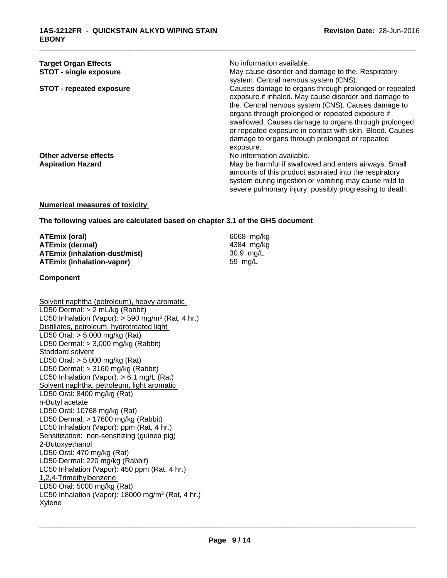| <b>Target Organ Effects</b>     | No information available.                                                                                      |
|---------------------------------|----------------------------------------------------------------------------------------------------------------|
| <b>STOT - single exposure</b>   | May cause disorder and damage to the. Respiratory                                                              |
|                                 | system. Central nervous system (CNS).                                                                          |
| <b>STOT - repeated exposure</b> | Causes damage to organs through prolonged or repeated<br>exposure if inhaled. May cause disorder and damage to |
|                                 | the. Central nervous system (CNS). Causes damage to<br>organs through prolonged or repeated exposure if        |
|                                 | swallowed. Causes damage to organs through prolonged                                                           |
|                                 | or repeated exposure in contact with skin. Blood. Causes                                                       |
|                                 | damage to organs through prolonged or repeated                                                                 |
|                                 | exposure.                                                                                                      |
| Other adverse effects           | No information available.                                                                                      |
| <b>Aspiration Hazard</b>        | May be harmful if swallowed and enters airways. Small                                                          |
|                                 | amounts of this product aspirated into the respiratory                                                         |
|                                 | system during ingestion or vomiting may cause mild to                                                          |
|                                 | severe pulmonary injury, possibly progressing to death.                                                        |

#### **Numerical measures of toxicity**

#### **The following values are calculated based on chapter 3.1 of the GHS document**

| ATEmix (oral)                        | 6068 mg/ka |
|--------------------------------------|------------|
| <b>ATEmix (dermal)</b>               | 4384 mg/ka |
| <b>ATEmix (inhalation-dust/mist)</b> | 30.9 mg/L  |
| <b>ATEmix (inhalation-vapor)</b>     | 59 ma/L    |

#### **Component**

Solvent naphtha (petroleum), heavy aromatic LD50 Dermal: > 2 mL/kg (Rabbit) LC50 Inhalation (Vapor): > 590 mg/m<sup>3</sup> (Rat, 4 hr.) Distillates, petroleum, hydrotreated light LD50 Oral: > 5,000 mg/kg (Rat) LD50 Dermal: > 3,000 mg/kg (Rabbit) Stoddard solvent LD50 Oral: > 5,000 mg/kg (Rat) LD50 Dermal: > 3160 mg/kg (Rabbit) LC50 Inhalation (Vapor): > 6.1 mg/L (Rat) Solvent naphtha, petroleum, light aromatic LD50 Oral: 8400 mg/kg (Rat) n-Butyl acetate LD50 Oral: 10768 mg/kg (Rat) LD50 Dermal: > 17600 mg/kg (Rabbit) LC50 Inhalation (Vapor): ppm (Rat, 4 hr.) Sensitization: non-sensitizing (guinea pig) 2-Butoxyethanol LD50 Oral: 470 mg/kg (Rat) LD50 Dermal: 220 mg/kg (Rabbit) LC50 Inhalation (Vapor): 450 ppm (Rat, 4 hr.) 1,2,4-Trimethylbenzene LD50 Oral: 5000 mg/kg (Rat) LC50 Inhalation (Vapor): 18000 mg/m<sup>3</sup> (Rat, 4 hr.) Xylene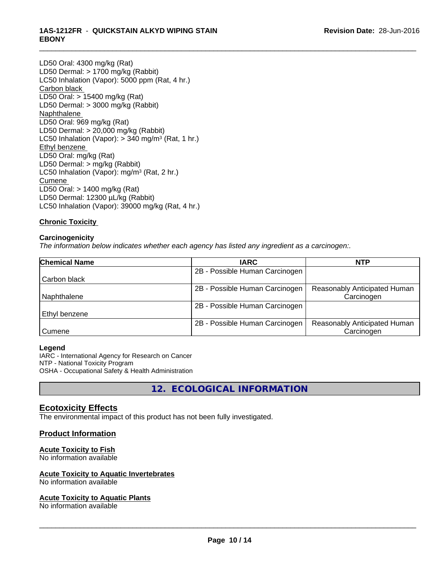## **1AS-1212FR** - **QUICKSTAIN ALKYD WIPING STAIN EBONY**

LD50 Oral: 4300 mg/kg (Rat) LD50 Dermal: > 1700 mg/kg (Rabbit) LC50 Inhalation (Vapor): 5000 ppm (Rat, 4 hr.) Carbon black LD50 Oral: > 15400 mg/kg (Rat) LD50 Dermal: > 3000 mg/kg (Rabbit) Naphthalene LD50 Oral: 969 mg/kg (Rat) LD50 Dermal: > 20,000 mg/kg (Rabbit) LC50 Inhalation (Vapor): > 340 mg/m<sup>3</sup> (Rat, 1 hr.) Ethyl benzene LD50 Oral: mg/kg (Rat) LD50 Dermal: > mg/kg (Rabbit) LC50 Inhalation (Vapor): mg/m<sup>3</sup> (Rat, 2 hr.) Cumene LD50 Oral: > 1400 mg/kg (Rat) LD50 Dermal: 12300 µL/kg (Rabbit) LC50 Inhalation (Vapor): 39000 mg/kg (Rat, 4 hr.)

## **Chronic Toxicity**

## **Carcinogenicity**

*The information below indicateswhether each agency has listed any ingredient as a carcinogen:.*

| <b>Chemical Name</b> | <b>IARC</b>                    | <b>NTP</b>                   |  |
|----------------------|--------------------------------|------------------------------|--|
|                      | 2B - Possible Human Carcinogen |                              |  |
| Carbon black         |                                |                              |  |
|                      | 2B - Possible Human Carcinogen | Reasonably Anticipated Human |  |
| Naphthalene          |                                | Carcinogen                   |  |
|                      | 2B - Possible Human Carcinogen |                              |  |
| Ethyl benzene        |                                |                              |  |
|                      | 2B - Possible Human Carcinogen | Reasonably Anticipated Human |  |
| Cumene               |                                | Carcinogen                   |  |

\_\_\_\_\_\_\_\_\_\_\_\_\_\_\_\_\_\_\_\_\_\_\_\_\_\_\_\_\_\_\_\_\_\_\_\_\_\_\_\_\_\_\_\_\_\_\_\_\_\_\_\_\_\_\_\_\_\_\_\_\_\_\_\_\_\_\_\_\_\_\_\_\_\_\_\_\_\_\_\_\_\_\_\_\_\_\_\_\_\_\_\_\_

#### **Legend**

IARC - International Agency for Research on Cancer NTP - National Toxicity Program OSHA - Occupational Safety & Health Administration

**12. ECOLOGICAL INFORMATION**

## **Ecotoxicity Effects**

The environmental impact of this product has not been fully investigated.

## **Product Information**

## **Acute Toxicity to Fish**

No information available

#### **Acute Toxicity to Aquatic Invertebrates**

No information available

#### **Acute Toxicity to Aquatic Plants**

No information available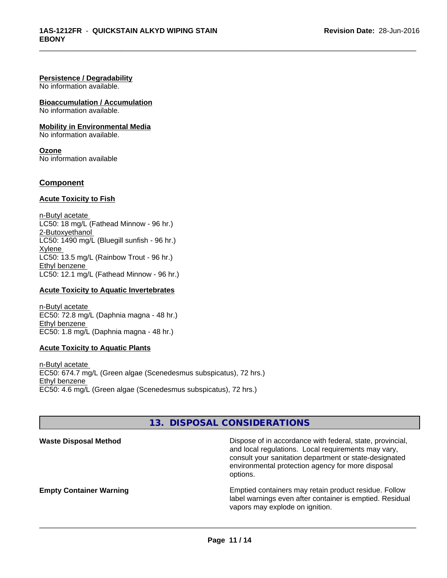#### **Persistence / Degradability**

No information available.

**Bioaccumulation / Accumulation** No information available.

**Mobility in Environmental Media**

No information available.

**Ozone** No information available

### **Component**

#### **Acute Toxicity to Fish**

n-Butyl acetate LC50: 18 mg/L (Fathead Minnow - 96 hr.) 2-Butoxyethanol LC50: 1490 mg/L (Bluegill sunfish - 96 hr.) Xylene LC50: 13.5 mg/L (Rainbow Trout - 96 hr.) Ethyl benzene LC50: 12.1 mg/L (Fathead Minnow - 96 hr.)

#### **Acute Toxicity to Aquatic Invertebrates**

n-Butyl acetate EC50: 72.8 mg/L (Daphnia magna - 48 hr.) Ethyl benzene EC50: 1.8 mg/L (Daphnia magna - 48 hr.)

#### **Acute Toxicity to Aquatic Plants**

n-Butyl acetate EC50: 674.7 mg/L (Green algae (Scenedesmus subspicatus), 72 hrs.) Ethyl benzene EC50: 4.6 mg/L (Green algae (Scenedesmus subspicatus), 72 hrs.)

## **13. DISPOSAL CONSIDERATIONS**

| <b>Waste Disposal Method</b>   | Dispose of in accordance with federal, state, provincial,<br>and local regulations. Local requirements may vary,<br>consult your sanitation department or state-designated<br>environmental protection agency for more disposal<br>options. |
|--------------------------------|---------------------------------------------------------------------------------------------------------------------------------------------------------------------------------------------------------------------------------------------|
| <b>Empty Container Warning</b> | Emptied containers may retain product residue. Follow<br>label warnings even after container is emptied. Residual<br>vapors may explode on ignition.                                                                                        |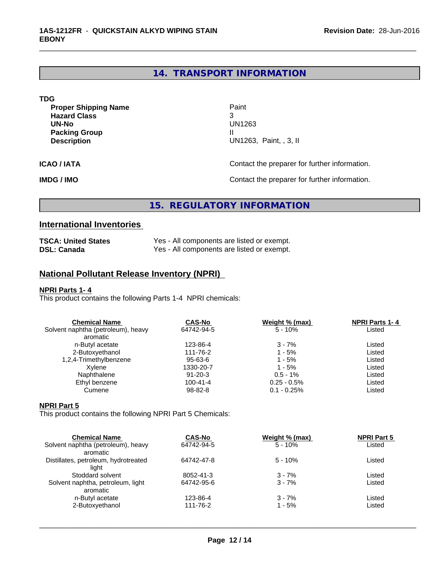# **14. TRANSPORT INFORMATION**

\_\_\_\_\_\_\_\_\_\_\_\_\_\_\_\_\_\_\_\_\_\_\_\_\_\_\_\_\_\_\_\_\_\_\_\_\_\_\_\_\_\_\_\_\_\_\_\_\_\_\_\_\_\_\_\_\_\_\_\_\_\_\_\_\_\_\_\_\_\_\_\_\_\_\_\_\_\_\_\_\_\_\_\_\_\_\_\_\_\_\_\_\_

| <b>TDG</b>                                                                                                |                                                     |
|-----------------------------------------------------------------------------------------------------------|-----------------------------------------------------|
| <b>Proper Shipping Name</b><br><b>Hazard Class</b><br>UN-No<br><b>Packing Group</b><br><b>Description</b> | Paint<br>3<br>UN1263<br>Ш<br>UN1263, Paint, , 3, II |
| <b>ICAO/IATA</b>                                                                                          | Contact the preparer for further information.       |
| <b>IMDG / IMO</b>                                                                                         | Contact the preparer for further information.       |

# **15. REGULATORY INFORMATION**

# **International Inventories**

| <b>TSCA: United States</b> | Yes - All components are listed or exempt. |
|----------------------------|--------------------------------------------|
| <b>DSL: Canada</b>         | Yes - All components are listed or exempt. |

## **National Pollutant Release Inventory (NPRI)**

## **NPRI Parts 1- 4**

This product contains the following Parts 1-4 NPRI chemicals:

| <b>Chemical Name</b>               | <b>CAS-No</b>  | Weight % (max) | <b>NPRI Parts 1-4</b> |  |
|------------------------------------|----------------|----------------|-----------------------|--|
| Solvent naphtha (petroleum), heavy | 64742-94-5     | $5 - 10%$      | Listed                |  |
| aromatic                           |                |                |                       |  |
| n-Butyl acetate                    | 123-86-4       | $3 - 7%$       | Listed                |  |
| 2-Butoxyethanol                    | 111-76-2       | 1 - 5%         | Listed                |  |
| 1,2,4-Trimethylbenzene             | 95-63-6        | 1 - 5%         | Listed                |  |
| Xvlene                             | 1330-20-7      | 1 - 5%         | Listed                |  |
| Naphthalene                        | $91 - 20 - 3$  | $0.5 - 1\%$    | Listed                |  |
| Ethyl benzene                      | $100 - 41 - 4$ | $0.25 - 0.5\%$ | Listed                |  |
| Cumene                             | 98-82-8        | $0.1 - 0.25%$  | Listed                |  |
|                                    |                |                |                       |  |

## **NPRI Part 5**

This product contains the following NPRI Part 5 Chemicals:

| <b>Chemical Name</b>                 | <b>CAS-No</b> | Weight % (max) | <b>NPRI Part 5</b> |  |
|--------------------------------------|---------------|----------------|--------------------|--|
| Solvent naphtha (petroleum), heavy   | 64742-94-5    | $5 - 10%$      | Listed             |  |
| aromatic                             |               |                |                    |  |
| Distillates, petroleum, hydrotreated | 64742-47-8    | $5 - 10%$      | Listed             |  |
| liaht                                |               |                |                    |  |
| Stoddard solvent                     | 8052-41-3     | $3 - 7%$       | Listed             |  |
| Solvent naphtha, petroleum, light    | 64742-95-6    | $3 - 7%$       | Listed             |  |
| aromatic                             |               |                |                    |  |
| n-Butyl acetate                      | 123-86-4      | $3 - 7%$       | Listed             |  |
| 2-Butoxyethanol                      | 111-76-2      | 1 - 5%         | Listed             |  |
|                                      |               |                |                    |  |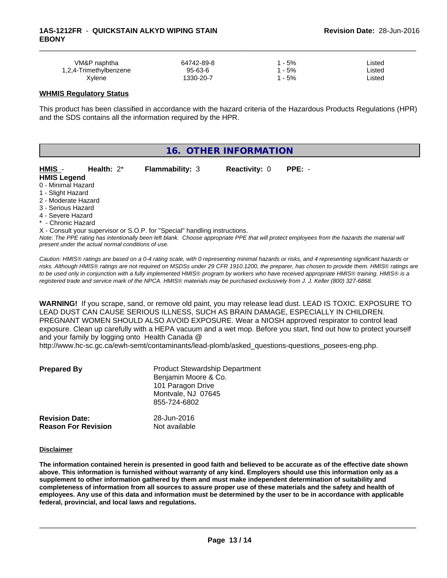| VM&P naphtha           | 64742-89-8    | $-5%$ | Listed |  |
|------------------------|---------------|-------|--------|--|
| 1,2,4-Trimethylbenzene | $95 - 63 - 6$ | $-5%$ | ∟isted |  |
| Xylene                 | 1330-20-7     | $-5%$ | _isted |  |

#### **WHMIS Regulatory Status**

This product has been classified in accordance with the hazard criteria of the Hazardous Products Regulations (HPR) and the SDS contains all the information required by the HPR.

| 16. OTHER INFORMATION                                                                                                                                                                                                                                                                                                |                        |                      |                                                                                                                                                           |  |
|----------------------------------------------------------------------------------------------------------------------------------------------------------------------------------------------------------------------------------------------------------------------------------------------------------------------|------------------------|----------------------|-----------------------------------------------------------------------------------------------------------------------------------------------------------|--|
| Health: $2^*$<br>HMIS -<br><b>HMIS Legend</b><br>0 - Minimal Hazard<br>1 - Slight Hazard<br>2 - Moderate Hazard<br>3 - Serious Hazard<br>4 - Severe Hazard<br>* - Chronic Hazard<br>X - Consult your supervisor or S.O.P. for "Special" handling instructions.<br>present under the actual normal conditions of use. | <b>Flammability: 3</b> | <b>Reactivity: 0</b> | $PPE: -$<br>Note: The PPE rating has intentionally been left blank. Choose appropriate PPE that will protect employees from the hazards the material will |  |

*Caution: HMISÒ ratings are based on a 0-4 rating scale, with 0 representing minimal hazards or risks, and 4 representing significant hazards or risks. Although HMISÒ ratings are not required on MSDSs under 29 CFR 1910.1200, the preparer, has chosen to provide them. HMISÒ ratings are to be used only in conjunction with a fully implemented HMISÒ program by workers who have received appropriate HMISÒ training. HMISÒ is a registered trade and service mark of the NPCA. HMISÒ materials may be purchased exclusively from J. J. Keller (800) 327-6868.*

**WARNING!** If you scrape, sand, or remove old paint, you may release lead dust. LEAD IS TOXIC. EXPOSURE TO LEAD DUST CAN CAUSE SERIOUS ILLNESS, SUCH AS BRAIN DAMAGE, ESPECIALLY IN CHILDREN. PREGNANT WOMEN SHOULD ALSO AVOID EXPOSURE.Wear a NIOSH approved respirator to control lead exposure. Clean up carefully with a HEPA vacuum and a wet mop. Before you start, find out how to protect yourself and your family by logging onto Health Canada @

http://www.hc-sc.gc.ca/ewh-semt/contaminants/lead-plomb/asked\_questions-questions\_posees-eng.php.

| <b>Prepared By</b>                                  | <b>Product Stewardship Department</b><br>Benjamin Moore & Co.<br>101 Paragon Drive<br>Montvale, NJ 07645<br>855-724-6802 |  |
|-----------------------------------------------------|--------------------------------------------------------------------------------------------------------------------------|--|
| <b>Revision Date:</b><br><b>Reason For Revision</b> | 28-Jun-2016<br>Not available                                                                                             |  |

#### **Disclaimer**

The information contained herein is presented in good faith and believed to be accurate as of the effective date shown above. This information is furnished without warranty of any kind. Employers should use this information only as a **supplement to other information gathered by them and must make independent determination of suitability and** completeness of information from all sources to assure proper use of these materials and the safety and health of employees. Any use of this data and information must be determined by the user to be in accordance with applicable **federal, provincial, and local laws and regulations.**